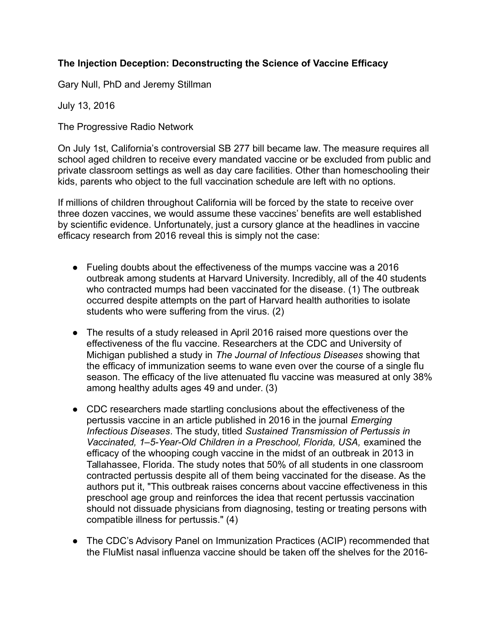# **The Injection Deception: Deconstructing the Science of Vaccine Efficacy**

Gary Null, PhD and Jeremy Stillman

July 13, 2016

The Progressive Radio Network

On July 1st, California's controversial SB 277 bill became law. The measure requires all school aged children to receive every mandated vaccine or be excluded from public and private classroom settings as well as day care facilities. Other than homeschooling their kids, parents who object to the full vaccination schedule are left with no options.

If millions of children throughout California will be forced by the state to receive over three dozen vaccines, we would assume these vaccines' benefits are well established by scientific evidence. Unfortunately, just a cursory glance at the headlines in vaccine efficacy research from 2016 reveal this is simply not the case:

- Fueling doubts about the effectiveness of the mumps vaccine was a 2016 outbreak among students at Harvard University. Incredibly, all of the 40 students who contracted mumps had been vaccinated for the disease. (1) The outbreak occurred despite attempts on the part of Harvard health authorities to isolate students who were suffering from the virus. (2)
- The results of a study released in April 2016 raised more questions over the effectiveness of the flu vaccine. Researchers at the CDC and University of Michigan published a study in *The Journal of Infectious Diseases* showing that the efficacy of immunization seems to wane even over the course of a single flu season. The efficacy of the live attenuated flu vaccine was measured at only 38% among healthy adults ages 49 and under. (3)
- CDC researchers made startling conclusions about the effectiveness of the pertussis vaccine in an article published in 2016 in the journal *Emerging Infectious Diseases*. The study, titled *Sustained Transmission of Pertussis in Vaccinated, 1–5-Year-Old Children in a Preschool, Florida, USA,* examined the efficacy of the whooping cough vaccine in the midst of an outbreak in 2013 in Tallahassee, Florida. The study notes that 50% of all students in one classroom contracted pertussis despite all of them being vaccinated for the disease. As the authors put it, "This outbreak raises concerns about vaccine effectiveness in this preschool age group and reinforces the idea that recent pertussis vaccination should not dissuade physicians from diagnosing, testing or treating persons with compatible illness for pertussis." (4)
- The CDC's Advisory Panel on Immunization Practices (ACIP) recommended that the FluMist nasal influenza vaccine should be taken off the shelves for the 2016-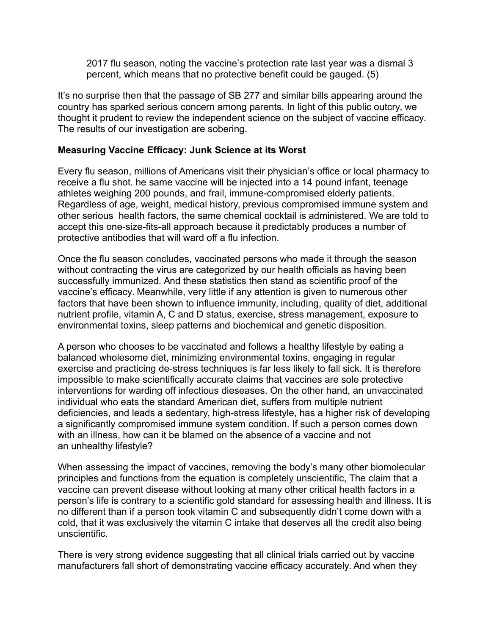2017 flu season, noting the vaccine's protection rate last year was a dismal 3 percent, which means that no protective benefit could be gauged. (5)

It's no surprise then that the passage of SB 277 and similar bills appearing around the country has sparked serious concern among parents. In light of this public outcry, we thought it prudent to review the independent science on the subject of vaccine efficacy. The results of our investigation are sobering.

#### **Measuring Vaccine Efficacy: Junk Science at its Worst**

Every flu season, millions of Americans visit their physician's office or local pharmacy to receive a flu shot. he same vaccine will be injected into a 14 pound infant, teenage athletes weighing 200 pounds, and frail, immune-compromised elderly patients. Regardless of age, weight, medical history, previous compromised immune system and other serious health factors, the same chemical cocktail is administered. We are told to accept this one-size-fits-all approach because it predictably produces a number of protective antibodies that will ward off a flu infection.

Once the flu season concludes, vaccinated persons who made it through the season without contracting the virus are categorized by our health officials as having been successfully immunized. And these statistics then stand as scientific proof of the vaccine's efficacy. Meanwhile, very little if any attention is given to numerous other factors that have been shown to influence immunity, including, quality of diet, additional nutrient profile, vitamin A, C and D status, exercise, stress management, exposure to environmental toxins, sleep patterns and biochemical and genetic disposition.

A person who chooses to be vaccinated and follows a healthy lifestyle by eating a balanced wholesome diet, minimizing environmental toxins, engaging in regular exercise and practicing de-stress techniques is far less likely to fall sick. It is therefore impossible to make scientifically accurate claims that vaccines are sole protective interventions for warding off infectious dieseases. On the other hand, an unvaccinated individual who eats the standard American diet, suffers from multiple nutrient deficiencies, and leads a sedentary, high-stress lifestyle, has a higher risk of developing a significantly compromised immune system condition. If such a person comes down with an illness, how can it be blamed on the absence of a vaccine and not an unhealthy lifestyle?

When assessing the impact of vaccines, removing the body's many other biomolecular principles and functions from the equation is completely unscientific, The claim that a vaccine can prevent disease without looking at many other critical health factors in a person's life is contrary to a scientific gold standard for assessing health and illness. It is no different than if a person took vitamin C and subsequently didn't come down with a cold, that it was exclusively the vitamin C intake that deserves all the credit also being unscientific.

There is very strong evidence suggesting that all clinical trials carried out by vaccine manufacturers fall short of demonstrating vaccine efficacy accurately. And when they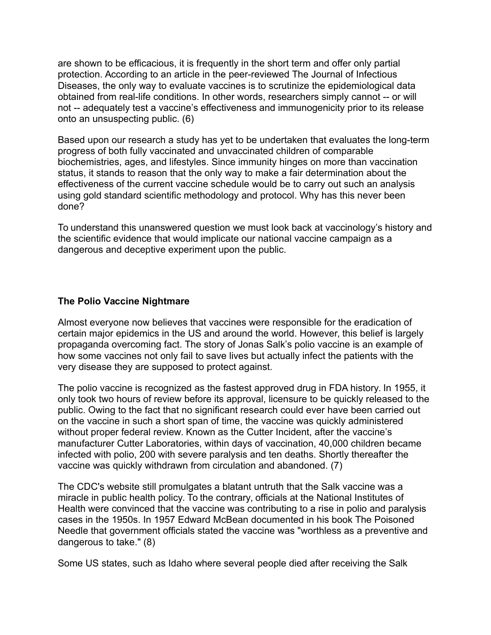are shown to be efficacious, it is frequently in the short term and offer only partial protection. According to an article in the peer-reviewed The Journal of Infectious Diseases, the only way to evaluate vaccines is to scrutinize the epidemiological data obtained from real-life conditions. In other words, researchers simply cannot -- or will not -- adequately test a vaccine's effectiveness and immunogenicity prior to its release onto an unsuspecting public. (6)

Based upon our research a study has yet to be undertaken that evaluates the long-term progress of both fully vaccinated and unvaccinated children of comparable biochemistries, ages, and lifestyles. Since immunity hinges on more than vaccination status, it stands to reason that the only way to make a fair determination about the effectiveness of the current vaccine schedule would be to carry out such an analysis using gold standard scientific methodology and protocol. Why has this never been done?

To understand this unanswered question we must look back at vaccinology's history and the scientific evidence that would implicate our national vaccine campaign as a dangerous and deceptive experiment upon the public.

#### **The Polio Vaccine Nightmare**

Almost everyone now believes that vaccines were responsible for the eradication of certain major epidemics in the US and around the world. However, this belief is largely propaganda overcoming fact. The story of Jonas Salk's polio vaccine is an example of how some vaccines not only fail to save lives but actually infect the patients with the very disease they are supposed to protect against.

The polio vaccine is recognized as the fastest approved drug in FDA history. In 1955, it only took two hours of review before its approval, licensure to be quickly released to the public. Owing to the fact that no significant research could ever have been carried out on the vaccine in such a short span of time, the vaccine was quickly administered without proper federal review. Known as the Cutter Incident, after the vaccine's manufacturer Cutter Laboratories, within days of vaccination, 40,000 children became infected with polio, 200 with severe paralysis and ten deaths. Shortly thereafter the vaccine was quickly withdrawn from circulation and abandoned. (7)

The CDC's website still promulgates a blatant untruth that the Salk vaccine was a miracle in public health policy. To the contrary, officials at the National Institutes of Health were convinced that the vaccine was contributing to a rise in polio and paralysis cases in the 1950s. In 1957 Edward McBean documented in his book The Poisoned Needle that government officials stated the vaccine was "worthless as a preventive and dangerous to take." (8)

Some US states, such as Idaho where several people died after receiving the Salk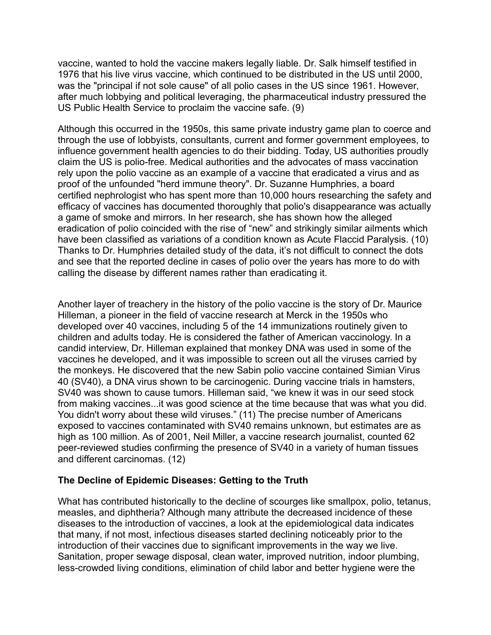vaccine, wanted to hold the vaccine makers legally liable. Dr. Salk himself testified in 1976 that his live virus vaccine, which continued to be distributed in the US until 2000, was the "principal if not sole cause" of all polio cases in the US since 1961. However, after much lobbying and political leveraging, the pharmaceutical industry pressured the US Public Health Service to proclaim the vaccine safe. (9)

Although this occurred in the 1950s, this same private industry game plan to coerce and through the use of lobbyists, consultants, current and former government employees, to influence government health agencies to do their bidding. Today, US authorities proudly claim the US is polio-free. Medical authorities and the advocates of mass vaccination rely upon the polio vaccine as an example of a vaccine that eradicated a virus and as proof of the unfounded "herd immune theory". Dr. Suzanne Humphries, a board certified nephrologist who has spent more than 10,000 hours researching the safety and efficacy of vaccines has documented thoroughly that polio's disappearance was actually a game of smoke and mirrors. In her research, she has shown how the alleged eradication of polio coincided with the rise of "new" and strikingly similar ailments which have been classified as variations of a condition known as Acute Flaccid Paralysis. (10) Thanks to Dr. Humphries detailed study of the data, it's not difficult to connect the dots and see that the reported decline in cases of polio over the years has more to do with calling the disease by different names rather than eradicating it.

Another layer of treachery in the history of the polio vaccine is the story of Dr. Maurice Hilleman, a pioneer in the field of vaccine research at Merck in the 1950s who developed over 40 vaccines, including 5 of the 14 immunizations routinely given to children and adults today. He is considered the father of American vaccinology. In a candid interview, Dr. Hilleman explained that monkey DNA was used in some of the vaccines he developed, and it was impossible to screen out all the viruses carried by the monkeys. He discovered that the new Sabin polio vaccine contained Simian Virus 40 (SV40), a DNA virus shown to be carcinogenic. During vaccine trials in hamsters, SV40 was shown to cause tumors. Hilleman said, "we knew it was in our seed stock from making vaccines...it was good science at the time because that was what you did. You didn't worry about these wild viruses." (11) The precise number of Americans exposed to vaccines contaminated with SV40 remains unknown, but estimates are as high as 100 million. As of 2001, Neil Miller, a vaccine research journalist, counted 62 peer-reviewed studies confirming the presence of SV40 in a variety of human tissues and different carcinomas. (12)

# **The Decline of Epidemic Diseases: Getting to the Truth**

What has contributed historically to the decline of scourges like smallpox, polio, tetanus, measles, and diphtheria? Although many attribute the decreased incidence of these diseases to the introduction of vaccines, a look at the epidemiological data indicates that many, if not most, infectious diseases started declining noticeably prior to the introduction of their vaccines due to significant improvements in the way we live. Sanitation, proper sewage disposal, clean water, improved nutrition, indoor plumbing, less-crowded living conditions, elimination of child labor and better hygiene were the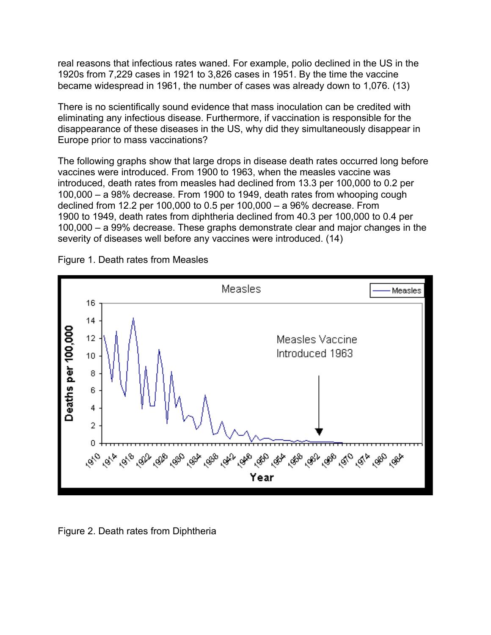real reasons that infectious rates waned. For example, polio declined in the US in the 1920s from 7,229 cases in 1921 to 3,826 cases in 1951. By the time the vaccine became widespread in 1961, the number of cases was already down to 1,076. (13)

There is no scientifically sound evidence that mass inoculation can be credited with eliminating any infectious disease. Furthermore, if vaccination is responsible for the disappearance of these diseases in the US, why did they simultaneously disappear in Europe prior to mass vaccinations?

The following graphs show that large drops in disease death rates occurred long before vaccines were introduced. From 1900 to 1963, when the measles vaccine was introduced, death rates from measles had declined from 13.3 per 100,000 to 0.2 per 100,000 – a 98% decrease. From 1900 to 1949, death rates from whooping cough declined from 12.2 per 100,000 to 0.5 per 100,000 – a 96% decrease. From 1900 to 1949, death rates from diphtheria declined from 40.3 per 100,000 to 0.4 per 100,000 – a 99% decrease. These graphs demonstrate clear and major changes in the severity of diseases well before any vaccines were introduced. (14)



Figure 1. Death rates from Measles

Figure 2. Death rates from Diphtheria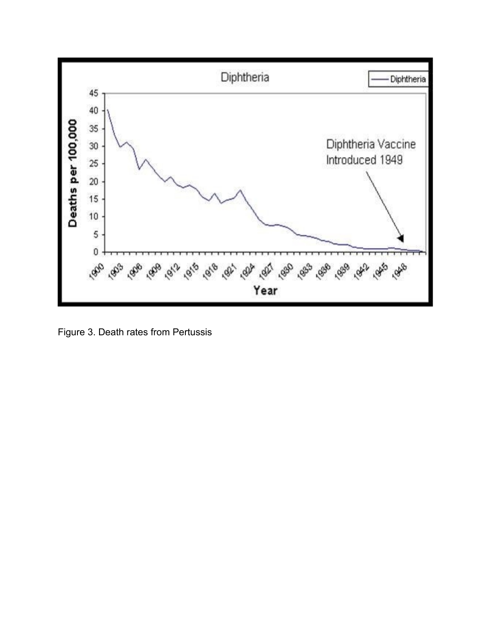

Figure 3. Death rates from Pertussis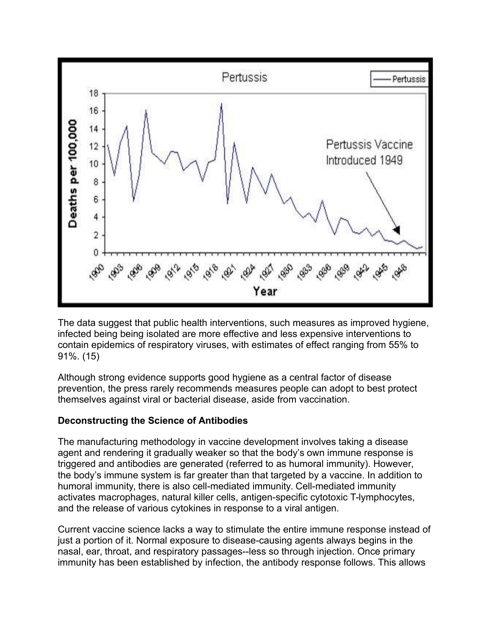

The data suggest that public health interventions, such measures as improved hygiene, infected being being isolated are more effective and less expensive interventions to contain epidemics of respiratory viruses, with estimates of effect ranging from 55% to 91%. (15)

Although strong evidence supports good hygiene as a central factor of disease prevention, the press rarely recommends measures people can adopt to best protect themselves against viral or bacterial disease, aside from vaccination.

#### **Deconstructing the Science of Antibodies**

The manufacturing methodology in vaccine development involves taking a disease agent and rendering it gradually weaker so that the body's own immune response is triggered and antibodies are generated (referred to as humoral immunity). However, the body's immune system is far greater than that targeted by a vaccine. In addition to humoral immunity, there is also cell-mediated immunity. Cell-mediated immunity activates macrophages, natural killer cells, antigen-specific cytotoxic T-lymphocytes, and the release of various cytokines in response to a viral antigen.

Current vaccine science lacks a way to stimulate the entire immune response instead of just a portion of it. Normal exposure to disease-causing agents always begins in the nasal, ear, throat, and respiratory passages--less so through injection. Once primary immunity has been established by infection, the antibody response follows. This allows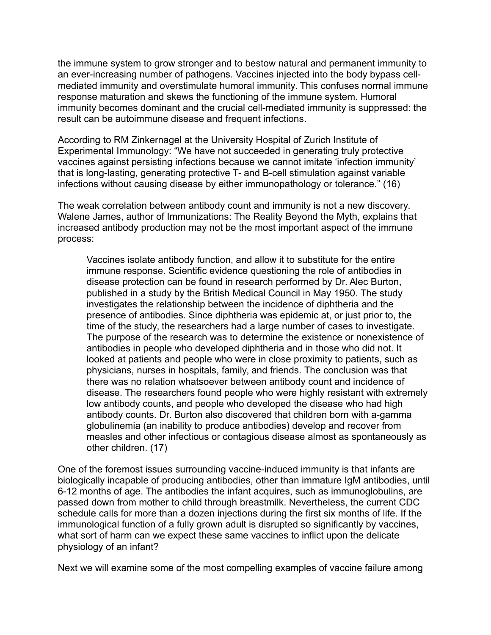the immune system to grow stronger and to bestow natural and permanent immunity to an ever-increasing number of pathogens. Vaccines injected into the body bypass cellmediated immunity and overstimulate humoral immunity. This confuses normal immune response maturation and skews the functioning of the immune system. Humoral immunity becomes dominant and the crucial cell-mediated immunity is suppressed: the result can be autoimmune disease and frequent infections.

According to RM Zinkernagel at the University Hospital of Zurich Institute of Experimental Immunology: "We have not succeeded in generating truly protective vaccines against persisting infections because we cannot imitate 'infection immunity' that is long-lasting, generating protective T- and B-cell stimulation against variable infections without causing disease by either immunopathology or tolerance." (16)

The weak correlation between antibody count and immunity is not a new discovery. Walene James, author of Immunizations: The Reality Beyond the Myth, explains that increased antibody production may not be the most important aspect of the immune process:

Vaccines isolate antibody function, and allow it to substitute for the entire immune response. Scientific evidence questioning the role of antibodies in disease protection can be found in research performed by Dr. Alec Burton, published in a study by the British Medical Council in May 1950. The study investigates the relationship between the incidence of diphtheria and the presence of antibodies. Since diphtheria was epidemic at, or just prior to, the time of the study, the researchers had a large number of cases to investigate. The purpose of the research was to determine the existence or nonexistence of antibodies in people who developed diphtheria and in those who did not. It looked at patients and people who were in close proximity to patients, such as physicians, nurses in hospitals, family, and friends. The conclusion was that there was no relation whatsoever between antibody count and incidence of disease. The researchers found people who were highly resistant with extremely low antibody counts, and people who developed the disease who had high antibody counts. Dr. Burton also discovered that children born with a-gamma globulinemia (an inability to produce antibodies) develop and recover from measles and other infectious or contagious disease almost as spontaneously as other children. (17)

One of the foremost issues surrounding vaccine-induced immunity is that infants are biologically incapable of producing antibodies, other than immature IgM antibodies, until 6-12 months of age. The antibodies the infant acquires, such as immunoglobulins, are passed down from mother to child through breastmilk. Nevertheless, the current CDC schedule calls for more than a dozen injections during the first six months of life. If the immunological function of a fully grown adult is disrupted so significantly by vaccines, what sort of harm can we expect these same vaccines to inflict upon the delicate physiology of an infant?

Next we will examine some of the most compelling examples of vaccine failure among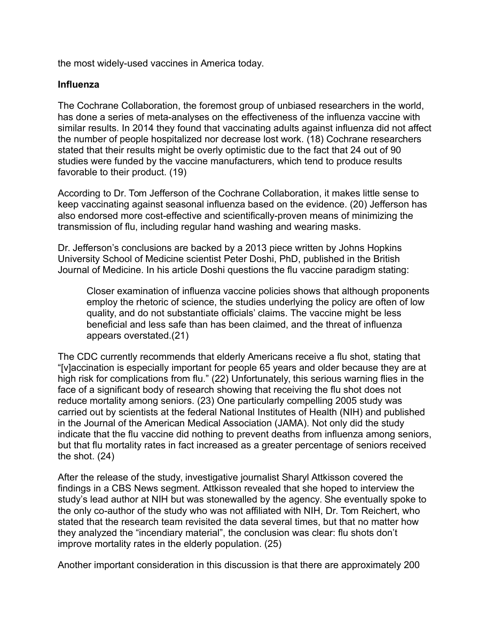the most widely-used vaccines in America today.

#### **Influenza**

The Cochrane Collaboration, the foremost group of unbiased researchers in the world, has done a series of meta-analyses on the effectiveness of the influenza vaccine with similar results. In 2014 they found that vaccinating adults against influenza did not affect the number of people hospitalized nor decrease lost work. (18) Cochrane researchers stated that their results might be overly optimistic due to the fact that 24 out of 90 studies were funded by the vaccine manufacturers, which tend to produce results favorable to their product. (19)

According to Dr. Tom Jefferson of the Cochrane Collaboration, it makes little sense to keep vaccinating against seasonal influenza based on the evidence. (20) Jefferson has also endorsed more cost-effective and scientifically-proven means of minimizing the transmission of flu, including regular hand washing and wearing masks.

Dr. Jefferson's conclusions are backed by a 2013 piece written by Johns Hopkins University School of Medicine scientist Peter Doshi, PhD, published in the British Journal of Medicine. In his article Doshi questions the flu vaccine paradigm stating:

Closer examination of influenza vaccine policies shows that although proponents employ the rhetoric of science, the studies underlying the policy are often of low quality, and do not substantiate officials' claims. The vaccine might be less beneficial and less safe than has been claimed, and the threat of influenza appears overstated.(21)

The CDC currently recommends that elderly Americans receive a flu shot, stating that "[v]accination is especially important for people 65 years and older because they are at high risk for complications from flu." (22) Unfortunately, this serious warning flies in the face of a significant body of research showing that receiving the flu shot does not reduce mortality among seniors. (23) One particularly compelling 2005 study was carried out by scientists at the federal National Institutes of Health (NIH) and published in the Journal of the American Medical Association (JAMA). Not only did the study indicate that the flu vaccine did nothing to prevent deaths from influenza among seniors, but that flu mortality rates in fact increased as a greater percentage of seniors received the shot. (24)

After the release of the study, investigative journalist Sharyl Attkisson covered the findings in a CBS News segment. Attkisson revealed that she hoped to interview the study's lead author at NIH but was stonewalled by the agency. She eventually spoke to the only co-author of the study who was not affiliated with NIH, Dr. Tom Reichert, who stated that the research team revisited the data several times, but that no matter how they analyzed the "incendiary material", the conclusion was clear: flu shots don't improve mortality rates in the elderly population. (25)

Another important consideration in this discussion is that there are approximately 200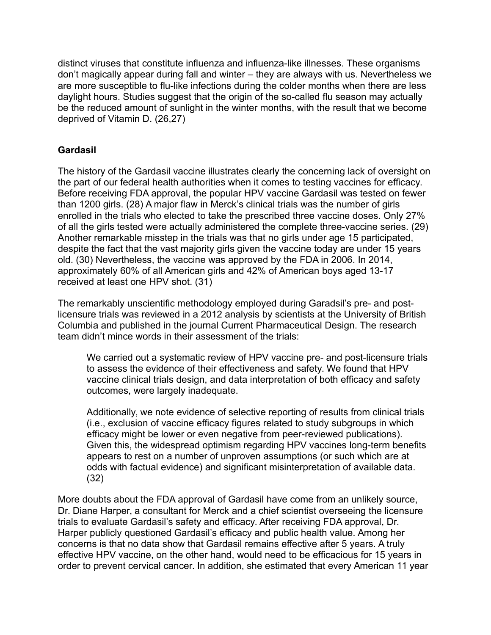distinct viruses that constitute influenza and influenza-like illnesses. These organisms don't magically appear during fall and winter – they are always with us. Nevertheless we are more susceptible to flu-like infections during the colder months when there are less daylight hours. Studies suggest that the origin of the so-called flu season may actually be the reduced amount of sunlight in the winter months, with the result that we become deprived of Vitamin D. (26,27)

# **Gardasil**

The history of the Gardasil vaccine illustrates clearly the concerning lack of oversight on the part of our federal health authorities when it comes to testing vaccines for efficacy. Before receiving FDA approval, the popular HPV vaccine Gardasil was tested on fewer than 1200 girls. (28) A major flaw in Merck's clinical trials was the number of girls enrolled in the trials who elected to take the prescribed three vaccine doses. Only 27% of all the girls tested were actually administered the complete three-vaccine series. (29) Another remarkable misstep in the trials was that no girls under age 15 participated, despite the fact that the vast majority girls given the vaccine today are under 15 years old. (30) Nevertheless, the vaccine was approved by the FDA in 2006. In 2014, approximately 60% of all American girls and 42% of American boys aged 13-17 received at least one HPV shot. (31)

The remarkably unscientific methodology employed during Garadsil's pre- and postlicensure trials was reviewed in a 2012 analysis by scientists at the University of British Columbia and published in the journal Current Pharmaceutical Design. The research team didn't mince words in their assessment of the trials:

We carried out a systematic review of HPV vaccine pre- and post-licensure trials to assess the evidence of their effectiveness and safety. We found that HPV vaccine clinical trials design, and data interpretation of both efficacy and safety outcomes, were largely inadequate.

Additionally, we note evidence of selective reporting of results from clinical trials (i.e., exclusion of vaccine efficacy figures related to study subgroups in which efficacy might be lower or even negative from peer-reviewed publications). Given this, the widespread optimism regarding HPV vaccines long-term benefits appears to rest on a number of unproven assumptions (or such which are at odds with factual evidence) and significant misinterpretation of available data. (32)

More doubts about the FDA approval of Gardasil have come from an unlikely source, Dr. Diane Harper, a consultant for Merck and a chief scientist overseeing the licensure trials to evaluate Gardasil's safety and efficacy. After receiving FDA approval, Dr. Harper publicly questioned Gardasil's efficacy and public health value. Among her concerns is that no data show that Gardasil remains effective after 5 years. A truly effective HPV vaccine, on the other hand, would need to be efficacious for 15 years in order to prevent cervical cancer. In addition, she estimated that every American 11 year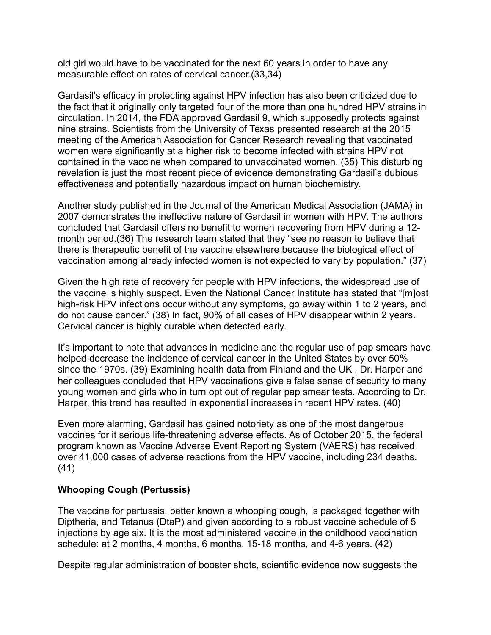old girl would have to be vaccinated for the next 60 years in order to have any measurable effect on rates of cervical cancer.(33,34)

Gardasil's efficacy in protecting against HPV infection has also been criticized due to the fact that it originally only targeted four of the more than one hundred HPV strains in circulation. In 2014, the FDA approved Gardasil 9, which supposedly protects against nine strains. Scientists from the University of Texas presented research at the 2015 meeting of the American Association for Cancer Research revealing that vaccinated women were significantly at a higher risk to become infected with strains HPV not contained in the vaccine when compared to unvaccinated women. (35) This disturbing revelation is just the most recent piece of evidence demonstrating Gardasil's dubious effectiveness and potentially hazardous impact on human biochemistry.

Another study published in the Journal of the American Medical Association (JAMA) in 2007 demonstrates the ineffective nature of Gardasil in women with HPV. The authors concluded that Gardasil offers no benefit to women recovering from HPV during a 12 month period.(36) The research team stated that they "see no reason to believe that there is therapeutic benefit of the vaccine elsewhere because the biological effect of vaccination among already infected women is not expected to vary by population." (37)

Given the high rate of recovery for people with HPV infections, the widespread use of the vaccine is highly suspect. Even the National Cancer Institute has stated that "[m]ost high-risk HPV infections occur without any symptoms, go away within 1 to 2 years, and do not cause cancer." (38) In fact, 90% of all cases of HPV disappear within 2 years. Cervical cancer is highly curable when detected early.

It's important to note that advances in medicine and the regular use of pap smears have helped decrease the incidence of cervical cancer in the United States by over 50% since the 1970s. (39) Examining health data from Finland and the UK , Dr. Harper and her colleagues concluded that HPV vaccinations give a false sense of security to many young women and girls who in turn opt out of regular pap smear tests. According to Dr. Harper, this trend has resulted in exponential increases in recent HPV rates. (40)

Even more alarming, Gardasil has gained notoriety as one of the most dangerous vaccines for it serious life-threatening adverse effects. As of October 2015, the federal program known as Vaccine Adverse Event Reporting System (VAERS) has received over 41,000 cases of adverse reactions from the HPV vaccine, including 234 deaths. (41)

#### **Whooping Cough (Pertussis)**

The vaccine for pertussis, better known a whooping cough, is packaged together with Diptheria, and Tetanus (DtaP) and given according to a robust vaccine schedule of 5 injections by age six. It is the most administered vaccine in the childhood vaccination schedule: at 2 months, 4 months, 6 months, 15-18 months, and 4-6 years. (42)

Despite regular administration of booster shots, scientific evidence now suggests the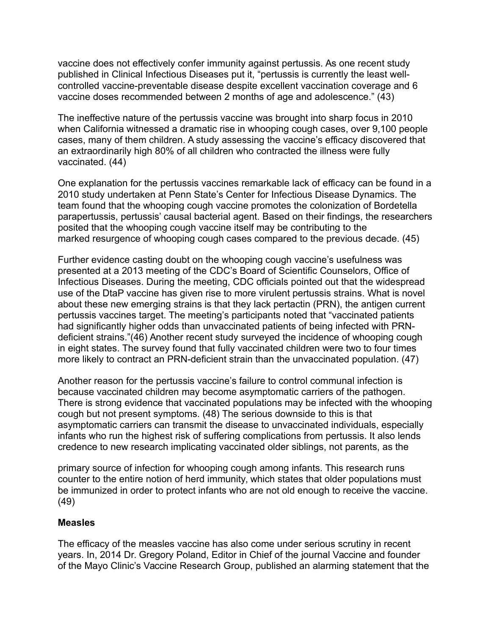vaccine does not effectively confer immunity against pertussis. As one recent study published in Clinical Infectious Diseases put it, "pertussis is currently the least wellcontrolled vaccine-preventable disease despite excellent vaccination coverage and 6 vaccine doses recommended between 2 months of age and adolescence." (43)

The ineffective nature of the pertussis vaccine was brought into sharp focus in 2010 when California witnessed a dramatic rise in whooping cough cases, over 9,100 people cases, many of them children. A study assessing the vaccine's efficacy discovered that an extraordinarily high 80% of all children who contracted the illness were fully vaccinated. (44)

One explanation for the pertussis vaccines remarkable lack of efficacy can be found in a 2010 study undertaken at Penn State's Center for Infectious Disease Dynamics. The team found that the whooping cough vaccine promotes the colonization of Bordetella parapertussis, pertussis' causal bacterial agent. Based on their findings, the researchers posited that the whooping cough vaccine itself may be contributing to the marked resurgence of whooping cough cases compared to the previous decade. (45)

Further evidence casting doubt on the whooping cough vaccine's usefulness was presented at a 2013 meeting of the CDC's Board of Scientific Counselors, Office of Infectious Diseases. During the meeting, CDC officials pointed out that the widespread use of the DtaP vaccine has given rise to more virulent pertussis strains. What is novel about these new emerging strains is that they lack pertactin (PRN), the antigen current pertussis vaccines target. The meeting's participants noted that "vaccinated patients had significantly higher odds than unvaccinated patients of being infected with PRNdeficient strains."(46) Another recent study surveyed the incidence of whooping cough in eight states. The survey found that fully vaccinated children were two to four times more likely to contract an PRN-deficient strain than the unvaccinated population. (47)

Another reason for the pertussis vaccine's failure to control communal infection is because vaccinated children may become asymptomatic carriers of the pathogen. There is strong evidence that vaccinated populations may be infected with the whooping cough but not present symptoms. (48) The serious downside to this is that asymptomatic carriers can transmit the disease to unvaccinated individuals, especially infants who run the highest risk of suffering complications from pertussis. It also lends credence to new research implicating vaccinated older siblings, not parents, as the

primary source of infection for whooping cough among infants. This research runs counter to the entire notion of herd immunity, which states that older populations must be immunized in order to protect infants who are not old enough to receive the vaccine. (49)

#### **Measles**

The efficacy of the measles vaccine has also come under serious scrutiny in recent years. In, 2014 Dr. Gregory Poland, Editor in Chief of the journal Vaccine and founder of the Mayo Clinic's Vaccine Research Group, published an alarming statement that the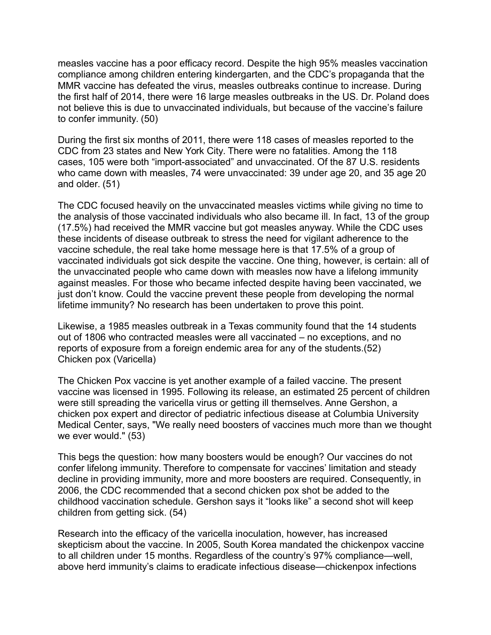measles vaccine has a poor efficacy record. Despite the high 95% measles vaccination compliance among children entering kindergarten, and the CDC's propaganda that the MMR vaccine has defeated the virus, measles outbreaks continue to increase. During the first half of 2014, there were 16 large measles outbreaks in the US. Dr. Poland does not believe this is due to unvaccinated individuals, but because of the vaccine's failure to confer immunity. (50)

During the first six months of 2011, there were 118 cases of measles reported to the CDC from 23 states and New York City. There were no fatalities. Among the 118 cases, 105 were both "import-associated" and unvaccinated. Of the 87 U.S. residents who came down with measles, 74 were unvaccinated: 39 under age 20, and 35 age 20 and older. (51)

The CDC focused heavily on the unvaccinated measles victims while giving no time to the analysis of those vaccinated individuals who also became ill. In fact, 13 of the group (17.5%) had received the MMR vaccine but got measles anyway. While the CDC uses these incidents of disease outbreak to stress the need for vigilant adherence to the vaccine schedule, the real take home message here is that 17.5% of a group of vaccinated individuals got sick despite the vaccine. One thing, however, is certain: all of the unvaccinated people who came down with measles now have a lifelong immunity against measles. For those who became infected despite having been vaccinated, we just don't know. Could the vaccine prevent these people from developing the normal lifetime immunity? No research has been undertaken to prove this point.

Likewise, a 1985 measles outbreak in a Texas community found that the 14 students out of 1806 who contracted measles were all vaccinated – no exceptions, and no reports of exposure from a foreign endemic area for any of the students.(52) Chicken pox (Varicella)

The Chicken Pox vaccine is yet another example of a failed vaccine. The present vaccine was licensed in 1995. Following its release, an estimated 25 percent of children were still spreading the varicella virus or getting ill themselves. Anne Gershon, a chicken pox expert and director of pediatric infectious disease at Columbia University Medical Center, says, "We really need boosters of vaccines much more than we thought we ever would." (53)

This begs the question: how many boosters would be enough? Our vaccines do not confer lifelong immunity. Therefore to compensate for vaccines' limitation and steady decline in providing immunity, more and more boosters are required. Consequently, in 2006, the CDC recommended that a second chicken pox shot be added to the childhood vaccination schedule. Gershon says it "looks like" a second shot will keep children from getting sick. (54)

Research into the efficacy of the varicella inoculation, however, has increased skepticism about the vaccine. In 2005, South Korea mandated the chickenpox vaccine to all children under 15 months. Regardless of the country's 97% compliance—well, above herd immunity's claims to eradicate infectious disease—chickenpox infections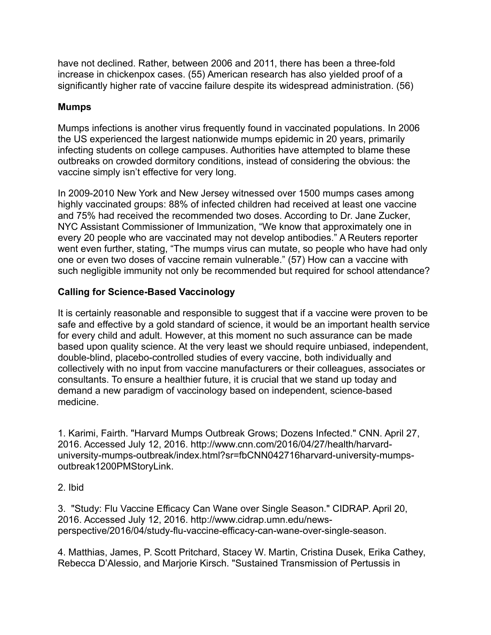have not declined. Rather, between 2006 and 2011, there has been a three-fold increase in chickenpox cases. (55) American research has also yielded proof of a significantly higher rate of vaccine failure despite its widespread administration. (56)

### **Mumps**

Mumps infections is another virus frequently found in vaccinated populations. In 2006 the US experienced the largest nationwide mumps epidemic in 20 years, primarily infecting students on college campuses. Authorities have attempted to blame these outbreaks on crowded dormitory conditions, instead of considering the obvious: the vaccine simply isn't effective for very long.

In 2009-2010 New York and New Jersey witnessed over 1500 mumps cases among highly vaccinated groups: 88% of infected children had received at least one vaccine and 75% had received the recommended two doses. According to Dr. Jane Zucker, NYC Assistant Commissioner of Immunization, "We know that approximately one in every 20 people who are vaccinated may not develop antibodies." A Reuters reporter went even further, stating, "The mumps virus can mutate, so people who have had only one or even two doses of vaccine remain vulnerable." (57) How can a vaccine with such negligible immunity not only be recommended but required for school attendance?

### **Calling for Science-Based Vaccinology**

It is certainly reasonable and responsible to suggest that if a vaccine were proven to be safe and effective by a gold standard of science, it would be an important health service for every child and adult. However, at this moment no such assurance can be made based upon quality science. At the very least we should require unbiased, independent, double-blind, placebo-controlled studies of every vaccine, both individually and collectively with no input from vaccine manufacturers or their colleagues, associates or consultants. To ensure a healthier future, it is crucial that we stand up today and demand a new paradigm of vaccinology based on independent, science-based medicine.

1. Karimi, Fairth. "Harvard Mumps Outbreak Grows; Dozens Infected." CNN. April 27, 2016. Accessed July 12, 2016. http://www.cnn.com/2016/04/27/health/harvarduniversity-mumps-outbreak/index.html?sr=fbCNN042716harvard-university-mumpsoutbreak1200PMStoryLink.

#### 2. Ibid

3. "Study: Flu Vaccine Efficacy Can Wane over Single Season." CIDRAP. April 20, 2016. Accessed July 12, 2016. http://www.cidrap.umn.edu/newsperspective/2016/04/study-flu-vaccine-efficacy-can-wane-over-single-season.

4. Matthias, James, P. Scott Pritchard, Stacey W. Martin, Cristina Dusek, Erika Cathey, Rebecca D'Alessio, and Marjorie Kirsch. "Sustained Transmission of Pertussis in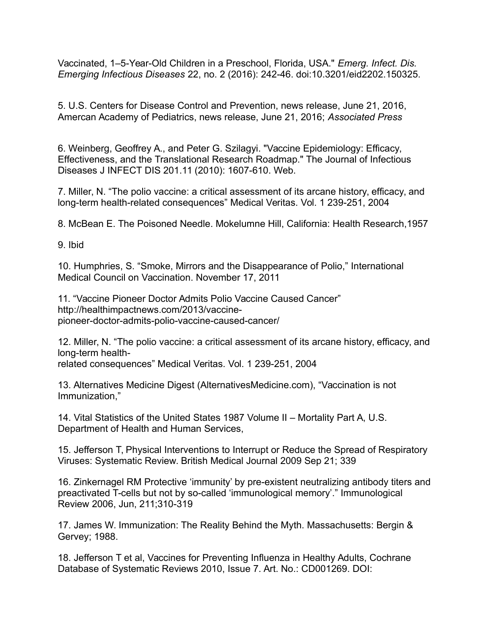Vaccinated, 1–5-Year-Old Children in a Preschool, Florida, USA." *Emerg. Infect. Dis. Emerging Infectious Diseases* 22, no. 2 (2016): 242-46. doi:10.3201/eid2202.150325.

5. U.S. Centers for Disease Control and Prevention, news release, June 21, 2016, Amercan Academy of Pediatrics, news release, June 21, 2016; *Associated Press*

6. Weinberg, Geoffrey A., and Peter G. Szilagyi. "Vaccine Epidemiology: Efficacy, Effectiveness, and the Translational Research Roadmap." The Journal of Infectious Diseases J INFECT DIS 201.11 (2010): 1607-610. Web.

7. Miller, N. "The polio vaccine: a critical assessment of its arcane history, efficacy, and long-term health-related consequences" Medical Veritas. Vol. 1 239-251, 2004

8. McBean E. The Poisoned Needle. Mokelumne Hill, California: Health Research,1957

9. Ibid

10. Humphries, S. "Smoke, Mirrors and the Disappearance of Polio," International Medical Council on Vaccination. November 17, 2011

11. "Vaccine Pioneer Doctor Admits Polio Vaccine Caused Cancer" http://healthimpactnews.com/2013/vaccinepioneer-doctor-admits-polio-vaccine-caused-cancer/

12. Miller, N. "The polio vaccine: a critical assessment of its arcane history, efficacy, and long-term health-

related consequences" Medical Veritas. Vol. 1 239-251, 2004

13. Alternatives Medicine Digest (AlternativesMedicine.com), "Vaccination is not Immunization,"

14. Vital Statistics of the United States 1987 Volume II – Mortality Part A, U.S. Department of Health and Human Services,

15. Jefferson T, Physical Interventions to Interrupt or Reduce the Spread of Respiratory Viruses: Systematic Review. British Medical Journal 2009 Sep 21; 339

16. Zinkernagel RM Protective 'immunity' by pre-existent neutralizing antibody titers and preactivated T-cells but not by so-called 'immunological memory'." Immunological Review 2006, Jun, 211;310-319

17. James W. Immunization: The Reality Behind the Myth. Massachusetts: Bergin & Gervey; 1988.

18. Jefferson T et al, Vaccines for Preventing Influenza in Healthy Adults, Cochrane Database of Systematic Reviews 2010, Issue 7. Art. No.: CD001269. DOI: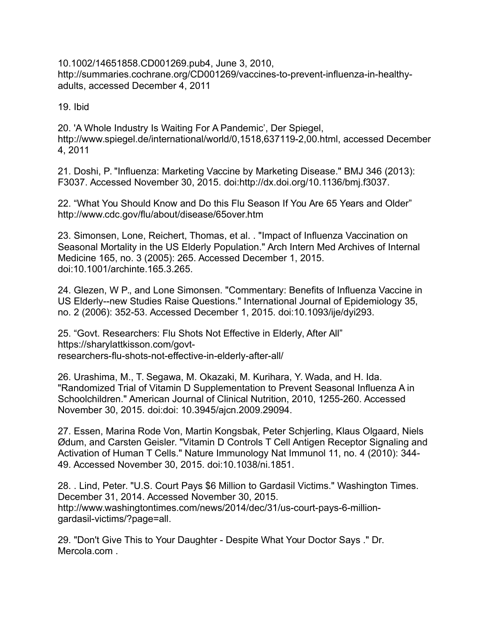10.1002/14651858.CD001269.pub4, June 3, 2010, http://summaries.cochrane.org/CD001269/vaccines-to-prevent-influenza-in-healthyadults, accessed December 4, 2011

19. Ibid

20. 'A Whole Industry Is Waiting For A Pandemic', Der Spiegel, http://www.spiegel.de/international/world/0,1518,637119-2,00.html, accessed December 4, 2011

21. Doshi, P. "Influenza: Marketing Vaccine by Marketing Disease." BMJ 346 (2013): F3037. Accessed November 30, 2015. doi:http://dx.doi.org/10.1136/bmj.f3037.

22. "What You Should Know and Do this Flu Season If You Are 65 Years and Older" http://www.cdc.gov/flu/about/disease/65over.htm

23. Simonsen, Lone, Reichert, Thomas, et al. . "Impact of Influenza Vaccination on Seasonal Mortality in the US Elderly Population." Arch Intern Med Archives of Internal Medicine 165, no. 3 (2005): 265. Accessed December 1, 2015. doi:10.1001/archinte.165.3.265.

24. Glezen, W P., and Lone Simonsen. "Commentary: Benefits of Influenza Vaccine in US Elderly--new Studies Raise Questions." International Journal of Epidemiology 35, no. 2 (2006): 352-53. Accessed December 1, 2015. doi:10.1093/ije/dyi293.

25. "Govt. Researchers: Flu Shots Not Effective in Elderly, After All" https://sharylattkisson.com/govtresearchers-flu-shots-not-effective-in-elderly-after-all/

26. Urashima, M., T. Segawa, M. Okazaki, M. Kurihara, Y. Wada, and H. Ida. "Randomized Trial of Vitamin D Supplementation to Prevent Seasonal Influenza A in Schoolchildren." American Journal of Clinical Nutrition, 2010, 1255-260. Accessed November 30, 2015. doi:doi: 10.3945/ajcn.2009.29094.

27. Essen, Marina Rode Von, Martin Kongsbak, Peter Schjerling, Klaus Olgaard, Niels Ødum, and Carsten Geisler. "Vitamin D Controls T Cell Antigen Receptor Signaling and Activation of Human T Cells." Nature Immunology Nat Immunol 11, no. 4 (2010): 344- 49. Accessed November 30, 2015. doi:10.1038/ni.1851.

28. . Lind, Peter. "U.S. Court Pays \$6 Million to Gardasil Victims." Washington Times. December 31, 2014. Accessed November 30, 2015. http://www.washingtontimes.com/news/2014/dec/31/us-court-pays-6-milliongardasil-victims/?page=all.

29. "Don't Give This to Your Daughter - Despite What Your Doctor Says ." Dr. Mercola.com .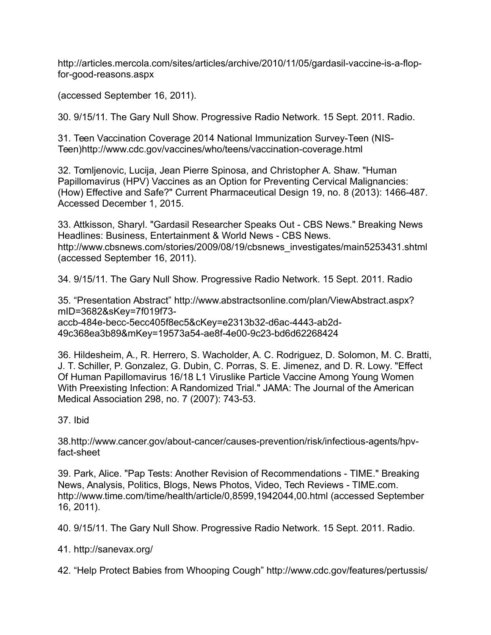http://articles.mercola.com/sites/articles/archive/2010/11/05/gardasil-vaccine-is-a-flopfor-good-reasons.aspx

(accessed September 16, 2011).

30. 9/15/11. The Gary Null Show. Progressive Radio Network. 15 Sept. 2011. Radio.

31. Teen Vaccination Coverage 2014 National Immunization Survey-Teen (NIS-Teen)http://www.cdc.gov/vaccines/who/teens/vaccination-coverage.html

32. Tomljenovic, Lucija, Jean Pierre Spinosa, and Christopher A. Shaw. "Human Papillomavirus (HPV) Vaccines as an Option for Preventing Cervical Malignancies: (How) Effective and Safe?" Current Pharmaceutical Design 19, no. 8 (2013): 1466-487. Accessed December 1, 2015.

33. Attkisson, Sharyl. "Gardasil Researcher Speaks Out - CBS News." Breaking News Headlines: Business, Entertainment & World News - CBS News. http://www.cbsnews.com/stories/2009/08/19/cbsnews\_investigates/main5253431.shtml (accessed September 16, 2011).

34. 9/15/11. The Gary Null Show. Progressive Radio Network. 15 Sept. 2011. Radio

35. "Presentation Abstract" http://www.abstractsonline.com/plan/ViewAbstract.aspx? mID=3682&sKey=7f019f73 accb-484e-becc-5ecc405f8ec5&cKey=e2313b32-d6ac-4443-ab2d-49c368ea3b89&mKey=19573a54-ae8f-4e00-9c23-bd6d62268424

36. Hildesheim, A., R. Herrero, S. Wacholder, A. C. Rodriguez, D. Solomon, M. C. Bratti, J. T. Schiller, P. Gonzalez, G. Dubin, C. Porras, S. E. Jimenez, and D. R. Lowy. "Effect Of Human Papillomavirus 16/18 L1 Viruslike Particle Vaccine Among Young Women With Preexisting Infection: A Randomized Trial." JAMA: The Journal of the American Medical Association 298, no. 7 (2007): 743-53.

# 37. Ibid

38.http://www.cancer.gov/about-cancer/causes-prevention/risk/infectious-agents/hpvfact-sheet

39. Park, Alice. "Pap Tests: Another Revision of Recommendations - TIME." Breaking News, Analysis, Politics, Blogs, News Photos, Video, Tech Reviews - TIME.com. http://www.time.com/time/health/article/0,8599,1942044,00.html (accessed September 16, 2011).

40. 9/15/11. The Gary Null Show. Progressive Radio Network. 15 Sept. 2011. Radio.

41. http://sanevax.org/

42. "Help Protect Babies from Whooping Cough" http://www.cdc.gov/features/pertussis/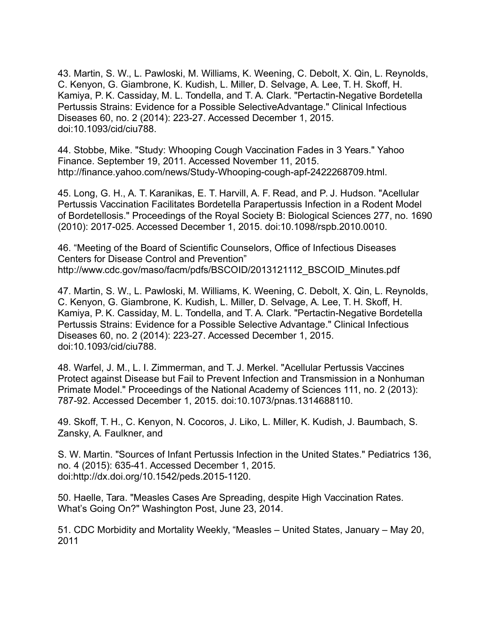43. Martin, S. W., L. Pawloski, M. Williams, K. Weening, C. Debolt, X. Qin, L. Reynolds, C. Kenyon, G. Giambrone, K. Kudish, L. Miller, D. Selvage, A. Lee, T. H. Skoff, H. Kamiya, P. K. Cassiday, M. L. Tondella, and T. A. Clark. "Pertactin-Negative Bordetella Pertussis Strains: Evidence for a Possible SelectiveAdvantage." Clinical Infectious Diseases 60, no. 2 (2014): 223-27. Accessed December 1, 2015. doi:10.1093/cid/ciu788.

44. Stobbe, Mike. "Study: Whooping Cough Vaccination Fades in 3 Years." Yahoo Finance. September 19, 2011. Accessed November 11, 2015. http://finance.yahoo.com/news/Study-Whooping-cough-apf-2422268709.html.

45. Long, G. H., A. T. Karanikas, E. T. Harvill, A. F. Read, and P. J. Hudson. "Acellular Pertussis Vaccination Facilitates Bordetella Parapertussis Infection in a Rodent Model of Bordetellosis." Proceedings of the Royal Society B: Biological Sciences 277, no. 1690 (2010): 2017-025. Accessed December 1, 2015. doi:10.1098/rspb.2010.0010.

46. "Meeting of the Board of Scientific Counselors, Office of Infectious Diseases Centers for Disease Control and Prevention" http://www.cdc.gov/maso/facm/pdfs/BSCOID/2013121112\_BSCOID\_Minutes.pdf

47. Martin, S. W., L. Pawloski, M. Williams, K. Weening, C. Debolt, X. Qin, L. Reynolds, C. Kenyon, G. Giambrone, K. Kudish, L. Miller, D. Selvage, A. Lee, T. H. Skoff, H. Kamiya, P. K. Cassiday, M. L. Tondella, and T. A. Clark. "Pertactin-Negative Bordetella Pertussis Strains: Evidence for a Possible Selective Advantage." Clinical Infectious Diseases 60, no. 2 (2014): 223-27. Accessed December 1, 2015. doi:10.1093/cid/ciu788.

48. Warfel, J. M., L. I. Zimmerman, and T. J. Merkel. "Acellular Pertussis Vaccines Protect against Disease but Fail to Prevent Infection and Transmission in a Nonhuman Primate Model." Proceedings of the National Academy of Sciences 111, no. 2 (2013): 787-92. Accessed December 1, 2015. doi:10.1073/pnas.1314688110.

49. Skoff, T. H., C. Kenyon, N. Cocoros, J. Liko, L. Miller, K. Kudish, J. Baumbach, S. Zansky, A. Faulkner, and

S. W. Martin. "Sources of Infant Pertussis Infection in the United States." Pediatrics 136, no. 4 (2015): 635-41. Accessed December 1, 2015. doi:http://dx.doi.org/10.1542/peds.2015-1120.

50. Haelle, Tara. "Measles Cases Are Spreading, despite High Vaccination Rates. What's Going On?" Washington Post, June 23, 2014.

51. CDC Morbidity and Mortality Weekly, "Measles – United States, January – May 20, 2011